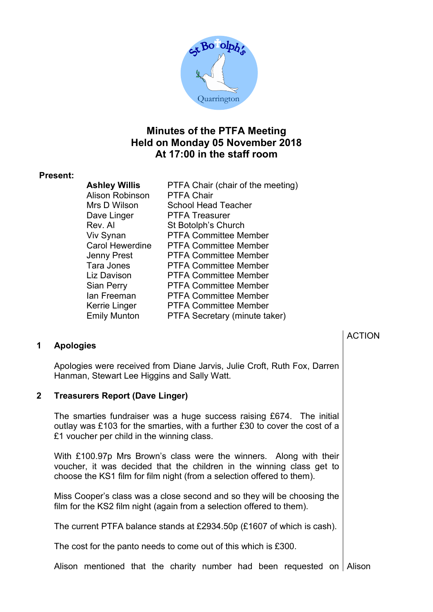

## Minutes of the PTFA Meeting Held on Monday 05 November 2018 At 17:00 in the staff room

#### Present:

| <b>Ashley Willis</b>   | PTFA Chair (chair of the meeting) |
|------------------------|-----------------------------------|
| <b>Alison Robinson</b> | <b>PTFA Chair</b>                 |
| Mrs D Wilson           | <b>School Head Teacher</b>        |
| Dave Linger            | <b>PTFA Treasurer</b>             |
| Rev. Al                | St Botolph's Church               |
| Viv Synan              | <b>PTFA Committee Member</b>      |
| <b>Carol Hewerdine</b> | <b>PTFA Committee Member</b>      |
| <b>Jenny Prest</b>     | <b>PTFA Committee Member</b>      |
| Tara Jones             | <b>PTFA Committee Member</b>      |
| Liz Davison            | <b>PTFA Committee Member</b>      |
| <b>Sian Perry</b>      | <b>PTFA Committee Member</b>      |
| lan Freeman            | <b>PTFA Committee Member</b>      |
| Kerrie Linger          | <b>PTFA Committee Member</b>      |
| <b>Emily Munton</b>    | PTFA Secretary (minute taker)     |

#### 1 Apologies

Apologies were received from Diane Jarvis, Julie Croft, Ruth Fox, Darren Hanman, Stewart Lee Higgins and Sally Watt.

#### 2 Treasurers Report (Dave Linger)

The smarties fundraiser was a huge success raising £674. The initial outlay was £103 for the smarties, with a further £30 to cover the cost of a £1 voucher per child in the winning class.

With £100.97p Mrs Brown's class were the winners. Along with their voucher, it was decided that the children in the winning class get to choose the KS1 film for film night (from a selection offered to them).

Miss Cooper's class was a close second and so they will be choosing the film for the KS2 film night (again from a selection offered to them).

The current PTFA balance stands at £2934.50p (£1607 of which is cash).

The cost for the panto needs to come out of this which is £300.

Alison mentioned that the charity number had been requested on Alison

### ACTION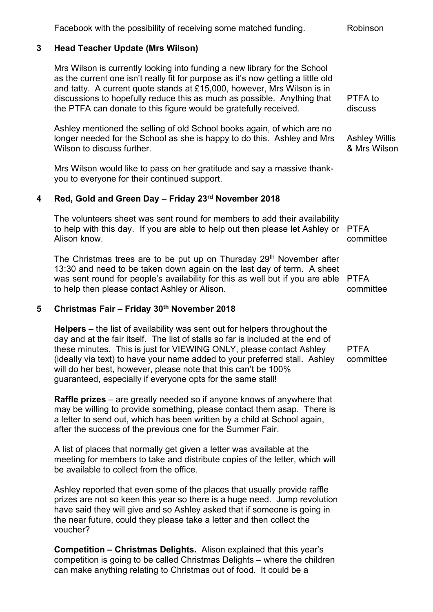|             | Facebook with the possibility of receiving some matched funding.                                                                                                                                                                                                                                                                                                                                                                                           | Robinson                             |
|-------------|------------------------------------------------------------------------------------------------------------------------------------------------------------------------------------------------------------------------------------------------------------------------------------------------------------------------------------------------------------------------------------------------------------------------------------------------------------|--------------------------------------|
| $\mathbf 3$ | <b>Head Teacher Update (Mrs Wilson)</b>                                                                                                                                                                                                                                                                                                                                                                                                                    |                                      |
|             | Mrs Wilson is currently looking into funding a new library for the School<br>as the current one isn't really fit for purpose as it's now getting a little old<br>and tatty. A current quote stands at £15,000, however, Mrs Wilson is in<br>discussions to hopefully reduce this as much as possible. Anything that<br>the PTFA can donate to this figure would be gratefully received.                                                                    | PTFA to<br>discuss                   |
|             | Ashley mentioned the selling of old School books again, of which are no<br>longer needed for the School as she is happy to do this. Ashley and Mrs<br>Wilson to discuss further.                                                                                                                                                                                                                                                                           | <b>Ashley Willis</b><br>& Mrs Wilson |
|             | Mrs Wilson would like to pass on her gratitude and say a massive thank-<br>you to everyone for their continued support.                                                                                                                                                                                                                                                                                                                                    |                                      |
| 4           | Red, Gold and Green Day - Friday 23rd November 2018                                                                                                                                                                                                                                                                                                                                                                                                        |                                      |
|             | The volunteers sheet was sent round for members to add their availability<br>to help with this day. If you are able to help out then please let Ashley or<br>Alison know.                                                                                                                                                                                                                                                                                  | <b>PTFA</b><br>committee             |
|             | The Christmas trees are to be put up on Thursday 29 <sup>th</sup> November after<br>13:30 and need to be taken down again on the last day of term. A sheet<br>was sent round for people's availability for this as well but if you are able<br>to help then please contact Ashley or Alison.                                                                                                                                                               | <b>PTFA</b><br>committee             |
| 5           | Christmas Fair - Friday 30th November 2018                                                                                                                                                                                                                                                                                                                                                                                                                 |                                      |
|             |                                                                                                                                                                                                                                                                                                                                                                                                                                                            |                                      |
|             | <b>Helpers</b> – the list of availability was sent out for helpers throughout the<br>day and at the fair itself. The list of stalls so far is included at the end of<br>these minutes. This is just for VIEWING ONLY, please contact Ashley<br>(ideally via text) to have your name added to your preferred stall. Ashley<br>will do her best, however, please note that this can't be 100%<br>guaranteed, especially if everyone opts for the same stall! | <b>PTFA</b><br>committee             |
|             | <b>Raffle prizes</b> – are greatly needed so if anyone knows of anywhere that<br>may be willing to provide something, please contact them asap. There is<br>a letter to send out, which has been written by a child at School again,<br>after the success of the previous one for the Summer Fair.                                                                                                                                                         |                                      |
|             | A list of places that normally get given a letter was available at the<br>meeting for members to take and distribute copies of the letter, which will<br>be available to collect from the office.                                                                                                                                                                                                                                                          |                                      |
|             | Ashley reported that even some of the places that usually provide raffle<br>prizes are not so keen this year so there is a huge need. Jump revolution<br>have said they will give and so Ashley asked that if someone is going in<br>the near future, could they please take a letter and then collect the<br>voucher?                                                                                                                                     |                                      |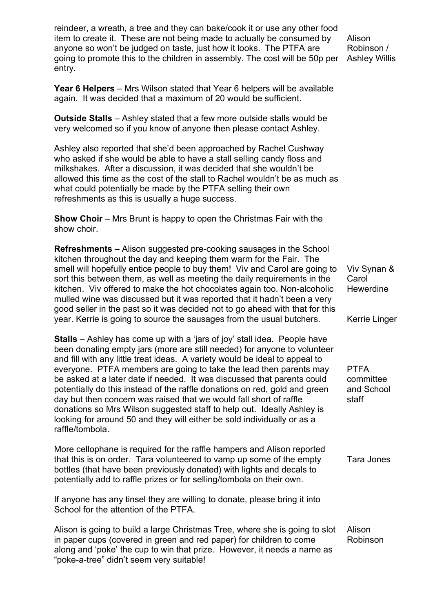| reindeer, a wreath, a tree and they can bake/cook it or use any other food<br>item to create it. These are not being made to actually be consumed by<br>anyone so won't be judged on taste, just how it looks. The PTFA are<br>going to promote this to the children in assembly. The cost will be 50p per<br>entry.                                                                                                                                                                                                                                                                                                                                                                                                    | Alison<br>Robinson /<br><b>Ashley Willis</b>       |
|-------------------------------------------------------------------------------------------------------------------------------------------------------------------------------------------------------------------------------------------------------------------------------------------------------------------------------------------------------------------------------------------------------------------------------------------------------------------------------------------------------------------------------------------------------------------------------------------------------------------------------------------------------------------------------------------------------------------------|----------------------------------------------------|
| <b>Year 6 Helpers</b> – Mrs Wilson stated that Year 6 helpers will be available<br>again. It was decided that a maximum of 20 would be sufficient.                                                                                                                                                                                                                                                                                                                                                                                                                                                                                                                                                                      |                                                    |
| <b>Outside Stalls</b> - Ashley stated that a few more outside stalls would be<br>very welcomed so if you know of anyone then please contact Ashley.                                                                                                                                                                                                                                                                                                                                                                                                                                                                                                                                                                     |                                                    |
| Ashley also reported that she'd been approached by Rachel Cushway<br>who asked if she would be able to have a stall selling candy floss and<br>milkshakes. After a discussion, it was decided that she wouldn't be<br>allowed this time as the cost of the stall to Rachel wouldn't be as much as<br>what could potentially be made by the PTFA selling their own<br>refreshments as this is usually a huge success.                                                                                                                                                                                                                                                                                                    |                                                    |
| <b>Show Choir</b> – Mrs Brunt is happy to open the Christmas Fair with the<br>show choir.                                                                                                                                                                                                                                                                                                                                                                                                                                                                                                                                                                                                                               |                                                    |
| <b>Refreshments</b> – Alison suggested pre-cooking sausages in the School<br>kitchen throughout the day and keeping them warm for the Fair. The<br>smell will hopefully entice people to buy them! Viv and Carol are going to<br>sort this between them, as well as meeting the daily requirements in the<br>kitchen. Viv offered to make the hot chocolates again too. Non-alcoholic<br>mulled wine was discussed but it was reported that it hadn't been a very<br>good seller in the past so it was decided not to go ahead with that for this<br>year. Kerrie is going to source the sausages from the usual butchers.                                                                                              | Viv Synan &<br>Carol<br>Hewerdine<br>Kerrie Linger |
| <b>Stalls</b> – Ashley has come up with a 'jars of joy' stall idea. People have<br>been donating empty jars (more are still needed) for anyone to volunteer<br>and fill with any little treat ideas. A variety would be ideal to appeal to<br>everyone. PTFA members are going to take the lead then parents may<br>be asked at a later date if needed. It was discussed that parents could<br>potentially do this instead of the raffle donations on red, gold and green<br>day but then concern was raised that we would fall short of raffle<br>donations so Mrs Wilson suggested staff to help out. Ideally Ashley is<br>looking for around 50 and they will either be sold individually or as a<br>raffle/tombola. | <b>PTFA</b><br>committee<br>and School<br>staff    |
| More cellophane is required for the raffle hampers and Alison reported<br>that this is on order. Tara volunteered to vamp up some of the empty<br>bottles (that have been previously donated) with lights and decals to<br>potentially add to raffle prizes or for selling/tombola on their own.                                                                                                                                                                                                                                                                                                                                                                                                                        | <b>Tara Jones</b>                                  |
| If anyone has any tinsel they are willing to donate, please bring it into<br>School for the attention of the PTFA.                                                                                                                                                                                                                                                                                                                                                                                                                                                                                                                                                                                                      |                                                    |
| Alison is going to build a large Christmas Tree, where she is going to slot<br>in paper cups (covered in green and red paper) for children to come<br>along and 'poke' the cup to win that prize. However, it needs a name as<br>"poke-a-tree" didn't seem very suitable!                                                                                                                                                                                                                                                                                                                                                                                                                                               | Alison<br>Robinson                                 |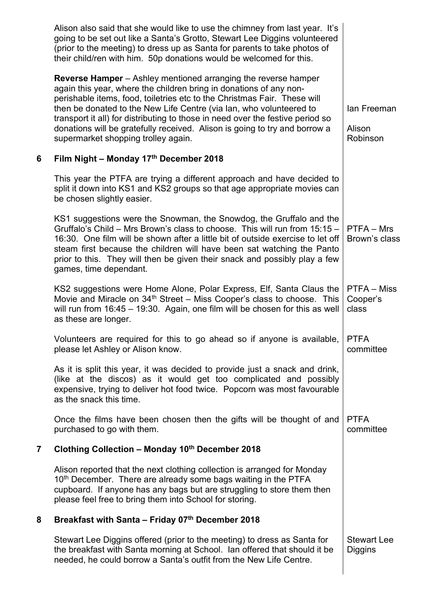|                         | Alison also said that she would like to use the chimney from last year. It's<br>going to be set out like a Santa's Grotto, Stewart Lee Diggins volunteered<br>(prior to the meeting) to dress up as Santa for parents to take photos of<br>their child/ren with him. 50p donations would be welcomed for this.                                                                                                                                                                                        |                                      |
|-------------------------|-------------------------------------------------------------------------------------------------------------------------------------------------------------------------------------------------------------------------------------------------------------------------------------------------------------------------------------------------------------------------------------------------------------------------------------------------------------------------------------------------------|--------------------------------------|
|                         | <b>Reverse Hamper</b> – Ashley mentioned arranging the reverse hamper<br>again this year, where the children bring in donations of any non-<br>perishable items, food, toiletries etc to the Christmas Fair. These will<br>then be donated to the New Life Centre (via lan, who volunteered to<br>transport it all) for distributing to those in need over the festive period so<br>donations will be gratefully received. Alison is going to try and borrow a<br>supermarket shopping trolley again. | lan Freeman<br>Alison<br>Robinson    |
| 6                       | Film Night - Monday 17th December 2018                                                                                                                                                                                                                                                                                                                                                                                                                                                                |                                      |
|                         | This year the PTFA are trying a different approach and have decided to<br>split it down into KS1 and KS2 groups so that age appropriate movies can<br>be chosen slightly easier.                                                                                                                                                                                                                                                                                                                      |                                      |
|                         | KS1 suggestions were the Snowman, the Snowdog, the Gruffalo and the<br>Gruffalo's Child - Mrs Brown's class to choose. This will run from 15:15 -<br>16:30. One film will be shown after a little bit of outside exercise to let off<br>steam first because the children will have been sat watching the Panto<br>prior to this. They will then be given their snack and possibly play a few<br>games, time dependant.                                                                                | PTFA - Mrs<br>Brown's class          |
|                         | KS2 suggestions were Home Alone, Polar Express, Elf, Santa Claus the<br>Movie and Miracle on 34 <sup>th</sup> Street - Miss Cooper's class to choose. This<br>will run from $16:45 - 19:30$ . Again, one film will be chosen for this as well<br>as these are longer.                                                                                                                                                                                                                                 | PTFA - Miss<br>Cooper's<br>class     |
|                         | Volunteers are required for this to go ahead so if anyone is available,<br>please let Ashley or Alison know.                                                                                                                                                                                                                                                                                                                                                                                          | <b>PTFA</b><br>committee             |
|                         | As it is split this year, it was decided to provide just a snack and drink,<br>(like at the discos) as it would get too complicated and possibly<br>expensive, trying to deliver hot food twice. Popcorn was most favourable<br>as the snack this time.                                                                                                                                                                                                                                               |                                      |
|                         | Once the films have been chosen then the gifts will be thought of and<br>purchased to go with them.                                                                                                                                                                                                                                                                                                                                                                                                   | <b>PTFA</b><br>committee             |
| $\overline{\mathbf{7}}$ | Clothing Collection - Monday 10th December 2018                                                                                                                                                                                                                                                                                                                                                                                                                                                       |                                      |
|                         | Alison reported that the next clothing collection is arranged for Monday<br>10 <sup>th</sup> December. There are already some bags waiting in the PTFA<br>cupboard. If anyone has any bags but are struggling to store them then<br>please feel free to bring them into School for storing.                                                                                                                                                                                                           |                                      |
| 8                       | Breakfast with Santa - Friday 07th December 2018                                                                                                                                                                                                                                                                                                                                                                                                                                                      |                                      |
|                         | Stewart Lee Diggins offered (prior to the meeting) to dress as Santa for<br>the breakfast with Santa morning at School. Ian offered that should it be<br>needed, he could borrow a Santa's outfit from the New Life Centre.                                                                                                                                                                                                                                                                           | <b>Stewart Lee</b><br><b>Diggins</b> |
|                         |                                                                                                                                                                                                                                                                                                                                                                                                                                                                                                       |                                      |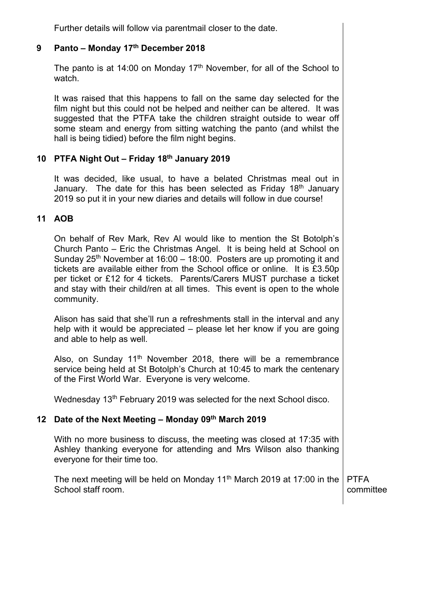Further details will follow via parentmail closer to the date.

#### 9 Panto – Monday 17th December 2018

The panto is at 14:00 on Monday 17<sup>th</sup> November, for all of the School to watch.

It was raised that this happens to fall on the same day selected for the film night but this could not be helped and neither can be altered. It was suggested that the PTFA take the children straight outside to wear off some steam and energy from sitting watching the panto (and whilst the hall is being tidied) before the film night begins.

#### 10 PTFA Night Out – Friday 18th January 2019

It was decided, like usual, to have a belated Christmas meal out in January. The date for this has been selected as Friday 18<sup>th</sup> January 2019 so put it in your new diaries and details will follow in due course!

#### 11 AOB

On behalf of Rev Mark, Rev Al would like to mention the St Botolph's Church Panto – Eric the Christmas Angel. It is being held at School on Sunday  $25<sup>th</sup>$  November at 16:00 – 18:00. Posters are up promoting it and tickets are available either from the School office or online. It is £3.50p per ticket or £12 for 4 tickets. Parents/Carers MUST purchase a ticket and stay with their child/ren at all times. This event is open to the whole community.

Alison has said that she'll run a refreshments stall in the interval and any help with it would be appreciated – please let her know if you are going and able to help as well.

Also, on Sunday 11<sup>th</sup> November 2018, there will be a remembrance service being held at St Botolph's Church at 10:45 to mark the centenary of the First World War. Everyone is very welcome.

Wednesday 13<sup>th</sup> February 2019 was selected for the next School disco.

#### 12 Date of the Next Meeting - Monday 09th March 2019

With no more business to discuss, the meeting was closed at 17:35 with Ashley thanking everyone for attending and Mrs Wilson also thanking everyone for their time too.

The next meeting will be held on Monday 11<sup>th</sup> March 2019 at 17:00 in the School staff room. PTFA committee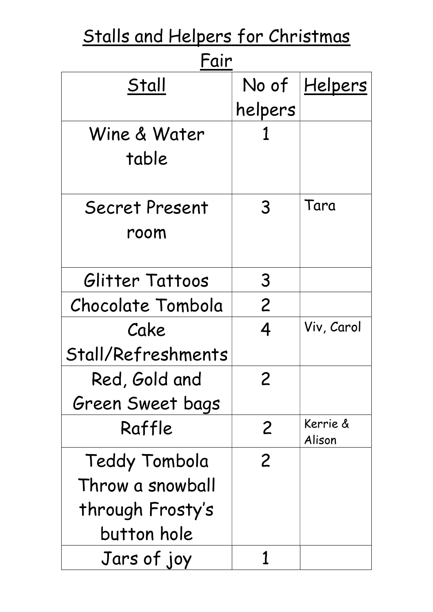| <u>Stalls and Helpers for Christmas</u> |                |                      |  |  |
|-----------------------------------------|----------------|----------------------|--|--|
| Fair                                    |                |                      |  |  |
| Stall                                   |                | No of <u>Helpers</u> |  |  |
|                                         | helpers        |                      |  |  |
| Wine & Water                            |                |                      |  |  |
| table                                   |                |                      |  |  |
|                                         |                |                      |  |  |
| Secret Present                          | 3              | Tara                 |  |  |
| room                                    |                |                      |  |  |
|                                         |                |                      |  |  |
| Glitter Tattoos                         | 3              |                      |  |  |
| Chocolate Tombola                       | $\overline{2}$ |                      |  |  |
| Cake                                    | 4              | Viv, Carol           |  |  |
| Stall/Refreshments                      |                |                      |  |  |
| Red, Gold and                           | $\overline{2}$ |                      |  |  |
| Green Sweet bags                        |                |                      |  |  |
| Raffle                                  | 2              | Kerrie &<br>Alison   |  |  |
| Teddy Tombola                           | $\overline{2}$ |                      |  |  |
| Throw a snowball                        |                |                      |  |  |
|                                         |                |                      |  |  |
| through Frosty's<br>button hole         |                |                      |  |  |
|                                         |                |                      |  |  |
| Jars of joy                             |                |                      |  |  |